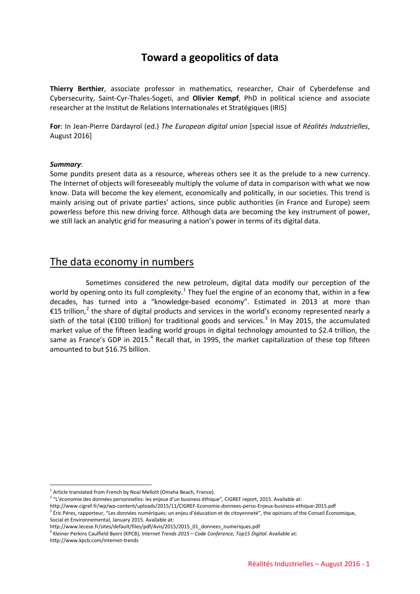# **Toward a geopolitics of data**

**Thierry Berthier**, associate professor in mathematics, researcher, Chair of Cyberdefense and Cybersecurity, Saint-Cyr-Thales-Sogeti, and **Olivier Kempf**, PhD in political science and associate researcher at the Institut de Relations Internationales et Stratégiques (IRIS)

**For**: In Jean-Pierre Dardayrol (ed.) *The European digital union* [special issue of *Réalités Industrielles*, August 2016]

#### *Summary*:

Some pundits present data as a resource, whereas others see it as the prelude to a new currency. The Internet of objects will foreseeably multiply the volume of data in comparison with what we now know. Data will become the key element, economically and politically, in our societies. This trend is mainly arising out of private parties' actions, since public authorities (in France and Europe) seem powerless before this new driving force. Although data are becoming the key instrument of power, we still lack an analytic grid for measuring a nation's power in terms of its digital data.

### The data economy in numbers

Sometimes considered the new petroleum, digital data modify our perception of the world by opening onto its full complexity.<sup>[1](#page-0-0)</sup> They fuel the engine of an economy that, within in a few decades, has turned into a "knowledge-based economy". Estimated in 2013 at more than €15 trillion,<sup>[2](#page-0-1)</sup> the share of digital products and services in the world's economy represented nearly a sixth of the total ( $\epsilon$ 100 trillion) for traditional goods and services.<sup>[3](#page-0-2)</sup> In May 2015, the accumulated market value of the fifteen leading world groups in digital technology amounted to \$2.4 trillion, the same as France's GDP in 2015.<sup>[4](#page-0-3)</sup> Recall that, in 1995, the market capitalization of these top fifteen amounted to but \$16.75 billion.

<u>.</u>

 $1$  Article translated from French by Noal Mellott (Omaha Beach, France).

<span id="page-0-1"></span><span id="page-0-0"></span><sup>&</sup>lt;sup>2</sup> "L'économie des données personnelles: les enjeux d'un business éthique", CIGREF report, 2015. Available at:

<span id="page-0-2"></span><http://www.cigref.fr/wp/wp-content/uploads/2015/11/CIGREF-Economie-donnees-perso-Enjeux-business-ethique-2015.pdf> <sup>3</sup> Éric Péres, rapporteur, "Les données numériques: un enjeu d'éducation et de citoyenneté", the opinions of the Conseil Économique, Social et Environnemental, January 2015. Available at:

[http://www.lecese.fr/sites/default/files/pdf/Avis/2015/2015\\_01\\_donnees\\_numeriques.pdf](http://www.lecese.fr/sites/default/files/pdf/Avis/2015/2015_01_donnees_numeriques.pdf)

<sup>4</sup> Kleiner Perkins Caulfield Byers (KPCB), *Internet Trends 2015 – Code Conference, Top15 Digital*. Available at:

<span id="page-0-3"></span><http://www.kpcb.com/internet-trends>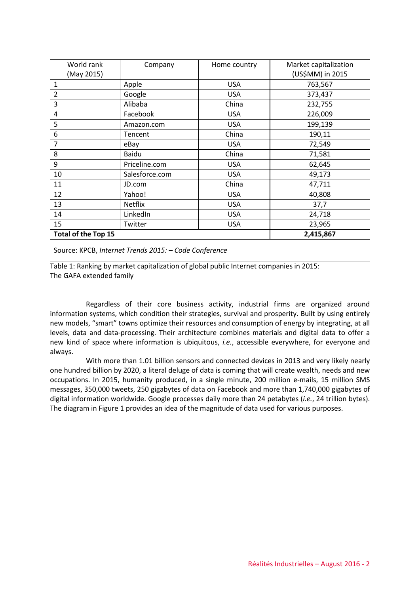| World rank                                            | Company        | Home country | Market capitalization |
|-------------------------------------------------------|----------------|--------------|-----------------------|
| (May 2015)                                            |                |              | (US\$MM) in 2015      |
| 1                                                     | Apple          | <b>USA</b>   | 763,567               |
| $\overline{2}$                                        | Google         | <b>USA</b>   | 373,437               |
| 3                                                     | Alibaba        | China        | 232,755               |
| 4                                                     | Facebook       | <b>USA</b>   | 226,009               |
| 5                                                     | Amazon.com     | <b>USA</b>   | 199,139               |
| 6                                                     | Tencent        | China        | 190,11                |
| $\overline{7}$                                        | eBay           | <b>USA</b>   | 72,549                |
| 8                                                     | Baidu          | China        | 71,581                |
| 9                                                     | Priceline.com  | <b>USA</b>   | 62,645                |
| 10                                                    | Salesforce.com | <b>USA</b>   | 49,173                |
| 11                                                    | JD.com         | China        | 47,711                |
| 12                                                    | Yahoo!         | <b>USA</b>   | 40,808                |
| 13                                                    | <b>Netflix</b> | <b>USA</b>   | 37,7                  |
| 14                                                    | LinkedIn       | <b>USA</b>   | 24,718                |
| 15                                                    | Twitter        | <b>USA</b>   | 23,965                |
| <b>Total of the Top 15</b>                            |                |              | 2,415,867             |
| Source: KPCB, Internet Trends 2015: - Code Conference |                |              |                       |

Table 1: Ranking by market capitalization of global public Internet companies in 2015: The GAFA extended family

Regardless of their core business activity, industrial firms are organized around information systems, which condition their strategies, survival and prosperity. Built by using entirely new models, "smart" towns optimize their resources and consumption of energy by integrating, at all levels, data and data-processing. Their architecture combines materials and digital data to offer a new kind of space where information is ubiquitous, *i.e.*, accessible everywhere, for everyone and always.

With more than 1.01 billion sensors and connected devices in 2013 and very likely nearly one hundred billion by 2020, a literal deluge of data is coming that will create wealth, needs and new occupations. In 2015, humanity produced, in a single minute, 200 million e-mails, 15 million SMS messages, 350,000 tweets, 250 gigabytes of data on Facebook and more than 1,740,000 gigabytes of digital information worldwide. Google processes daily more than 24 petabytes (*i.e.*, 24 trillion bytes). The diagram in Figure 1 provides an idea of the magnitude of data used for various purposes.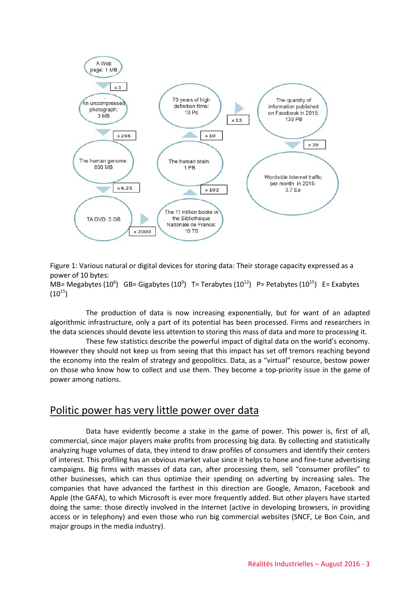

Figure 1: Various natural or digital devices for storing data: Their storage capacity expressed as a power of 10 bytes:

MB= Megabytes (10<sup>6</sup>) GB= Gigabytes (10<sup>9</sup>) T= Terabytes (10<sup>12</sup>) P= Petabytes (10<sup>15</sup>) E= Exabytes  $(10^{15})$ 

The production of data is now increasing exponentially, but for want of an adapted algorithmic infrastructure, only a part of its potential has been processed. Firms and researchers in the data sciences should devote less attention to storing this mass of data and more to processing it.

These few statistics describe the powerful impact of digital data on the world's economy. However they should not keep us from seeing that this impact has set off tremors reaching beyond the economy into the realm of strategy and geopolitics. Data, as a "virtual" resource, bestow power on those who know how to collect and use them. They become a top-priority issue in the game of power among nations.

## Politic power has very little power over data

Data have evidently become a stake in the game of power. This power is, first of all, commercial, since major players make profits from processing big data. By collecting and statistically analyzing huge volumes of data, they intend to draw profiles of consumers and identify their centers of interest. This profiling has an obvious market value since it helps to hone and fine-tune advertising campaigns. Big firms with masses of data can, after processing them, sell "consumer profiles" to other businesses, which can thus optimize their spending on adverting by increasing sales. The companies that have advanced the farthest in this direction are Google, Amazon, Facebook and Apple (the GAFA), to which Microsoft is ever more frequently added. But other players have started doing the same: those directly involved in the Internet (active in developing browsers, in providing access or in telephony) and even those who run big commercial websites (SNCF, Le Bon Coin, and major groups in the media industry).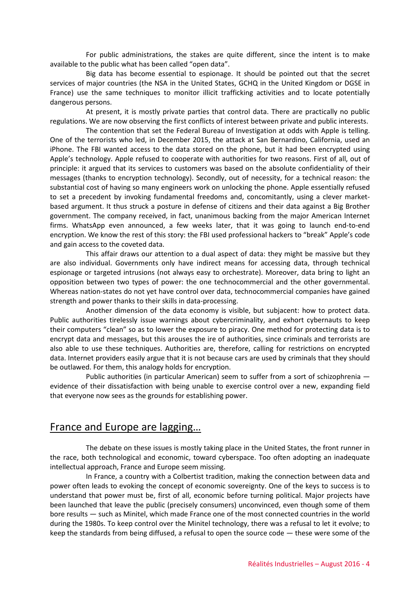For public administrations, the stakes are quite different, since the intent is to make available to the public what has been called "open data".

Big data has become essential to espionage. It should be pointed out that the secret services of major countries (the NSA in the United States, GCHQ in the United Kingdom or DGSE in France) use the same techniques to monitor illicit trafficking activities and to locate potentially dangerous persons.

At present, it is mostly private parties that control data. There are practically no public regulations. We are now observing the first conflicts of interest between private and public interests.

The contention that set the Federal Bureau of Investigation at odds with Apple is telling. One of the terrorists who led, in December 2015, the attack at San Bernardino, California, used an iPhone. The FBI wanted access to the data stored on the phone, but it had been encrypted using Apple's technology. Apple refused to cooperate with authorities for two reasons. First of all, out of principle: it argued that its services to customers was based on the absolute confidentiality of their messages (thanks to encryption technology). Secondly, out of necessity, for a technical reason: the substantial cost of having so many engineers work on unlocking the phone. Apple essentially refused to set a precedent by invoking fundamental freedoms and, concomitantly, using a clever marketbased argument. It thus struck a posture in defense of citizens and their data against a Big Brother government. The company received, in fact, unanimous backing from the major American Internet firms. WhatsApp even announced, a few weeks later, that it was going to launch end-to-end encryption. We know the rest of this story: the FBI used professional hackers to "break" Apple's code and gain access to the coveted data.

This affair draws our attention to a dual aspect of data: they might be massive but they are also individual. Governments only have indirect means for accessing data, through technical espionage or targeted intrusions (not always easy to orchestrate). Moreover, data bring to light an opposition between two types of power: the one technocommercial and the other governmental. Whereas nation-states do not yet have control over data, technocommercial companies have gained strength and power thanks to their skills in data-processing.

Another dimension of the data economy is visible, but subjacent: how to protect data. Public authorities tirelessly issue warnings about cybercriminality, and exhort cybernauts to keep their computers "clean" so as to lower the exposure to piracy. One method for protecting data is to encrypt data and messages, but this arouses the ire of authorities, since criminals and terrorists are also able to use these techniques. Authorities are, therefore, calling for restrictions on encrypted data. Internet providers easily argue that it is not because cars are used by criminals that they should be outlawed. For them, this analogy holds for encryption.

Public authorities (in particular American) seem to suffer from a sort of schizophrenia evidence of their dissatisfaction with being unable to exercise control over a new, expanding field that everyone now sees as the grounds for establishing power.

## France and Europe are lagging…

The debate on these issues is mostly taking place in the United States, the front runner in the race, both technological and economic, toward cyberspace. Too often adopting an inadequate intellectual approach, France and Europe seem missing.

In France, a country with a Colbertist tradition, making the connection between data and power often leads to evoking the concept of economic sovereignty. One of the keys to success is to understand that power must be, first of all, economic before turning political. Major projects have been launched that leave the public (precisely consumers) unconvinced, even though some of them bore results — such as Minitel, which made France one of the most connected countries in the world during the 1980s. To keep control over the Minitel technology, there was a refusal to let it evolve; to keep the standards from being diffused, a refusal to open the source code  $-$  these were some of the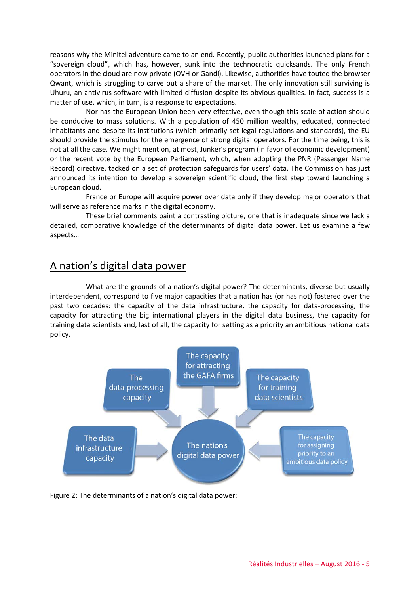reasons why the Minitel adventure came to an end. Recently, public authorities launched plans for a "sovereign cloud", which has, however, sunk into the technocratic quicksands. The only French operators in the cloud are now private (OVH or Gandi). Likewise, authorities have touted the browser Qwant, which is struggling to carve out a share of the market. The only innovation still surviving is Uhuru, an antivirus software with limited diffusion despite its obvious qualities. In fact, success is a matter of use, which, in turn, is a response to expectations.

Nor has the European Union been very effective, even though this scale of action should be conducive to mass solutions. With a population of 450 million wealthy, educated, connected inhabitants and despite its institutions (which primarily set legal regulations and standards), the EU should provide the stimulus for the emergence of strong digital operators. For the time being, this is not at all the case. We might mention, at most, Junker's program (in favor of economic development) or the recent vote by the European Parliament, which, when adopting the PNR (Passenger Name Record) directive, tacked on a set of protection safeguards for users' data. The Commission has just announced its intention to develop a sovereign scientific cloud, the first step toward launching a European cloud.

France or Europe will acquire power over data only if they develop major operators that will serve as reference marks in the digital economy.

These brief comments paint a contrasting picture, one that is inadequate since we lack a detailed, comparative knowledge of the determinants of digital data power. Let us examine a few aspects…

## A nation's digital data power

What are the grounds of a nation's digital power? The determinants, diverse but usually interdependent, correspond to five major capacities that a nation has (or has not) fostered over the past two decades: the capacity of the data infrastructure, the capacity for data-processing, the capacity for attracting the big international players in the digital data business, the capacity for training data scientists and, last of all, the capacity for setting as a priority an ambitious national data policy.



Figure 2: The determinants of a nation's digital data power: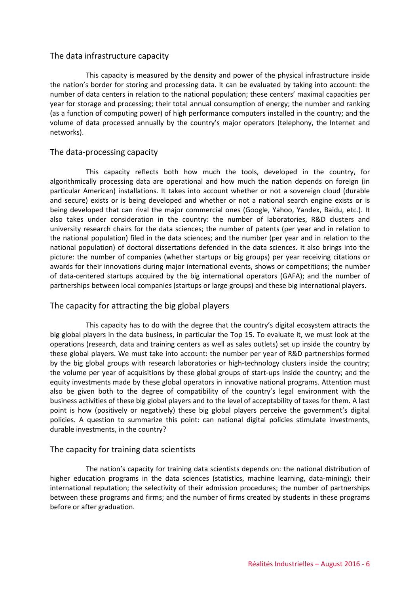#### The data infrastructure capacity

This capacity is measured by the density and power of the physical infrastructure inside the nation's border for storing and processing data. It can be evaluated by taking into account: the number of data centers in relation to the national population; these centers' maximal capacities per year for storage and processing; their total annual consumption of energy; the number and ranking (as a function of computing power) of high performance computers installed in the country; and the volume of data processed annually by the country's major operators (telephony, the Internet and networks).

#### The data-processing capacity

This capacity reflects both how much the tools, developed in the country, for algorithmically processing data are operational and how much the nation depends on foreign (in particular American) installations. It takes into account whether or not a sovereign cloud (durable and secure) exists or is being developed and whether or not a national search engine exists or is being developed that can rival the major commercial ones (Google, Yahoo, Yandex, Baidu, etc.). It also takes under consideration in the country: the number of laboratories, R&D clusters and university research chairs for the data sciences; the number of patents (per year and in relation to the national population) filed in the data sciences; and the number (per year and in relation to the national population) of doctoral dissertations defended in the data sciences. It also brings into the picture: the number of companies (whether startups or big groups) per year receiving citations or awards for their innovations during major international events, shows or competitions; the number of data-centered startups acquired by the big international operators (GAFA); and the number of partnerships between local companies (startups or large groups) and these big international players.

### The capacity for attracting the big global players

This capacity has to do with the degree that the country's digital ecosystem attracts the big global players in the data business, in particular the Top 15. To evaluate it, we must look at the operations (research, data and training centers as well as sales outlets) set up inside the country by these global players. We must take into account: the number per year of R&D partnerships formed by the big global groups with research laboratories or high-technology clusters inside the country; the volume per year of acquisitions by these global groups of start-ups inside the country; and the equity investments made by these global operators in innovative national programs. Attention must also be given both to the degree of compatibility of the country's legal environment with the business activities of these big global players and to the level of acceptability of taxes for them. A last point is how (positively or negatively) these big global players perceive the government's digital policies. A question to summarize this point: can national digital policies stimulate investments, durable investments, in the country?

#### The capacity for training data scientists

The nation's capacity for training data scientists depends on: the national distribution of higher education programs in the data sciences (statistics, machine learning, data-mining); their international reputation; the selectivity of their admission procedures; the number of partnerships between these programs and firms; and the number of firms created by students in these programs before or after graduation.